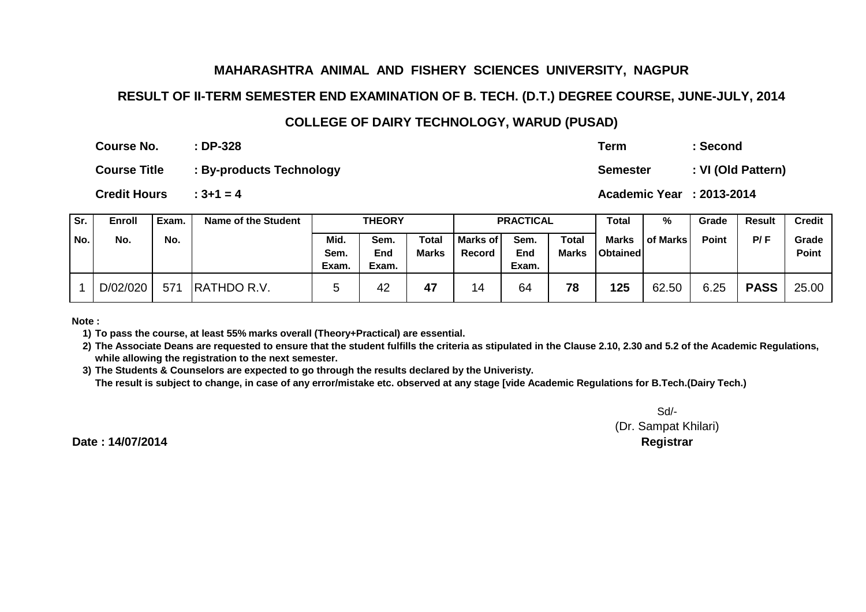#### **RESULT OF II-TERM SEMESTER END EXAMINATION OF B. TECH. (D.T.) DEGREE COURSE, JUNE-JULY, 2014**

### **COLLEGE OF DAIRY TECHNOLOGY, WARUD (PUSAD)**

|                     | Course No.          |       | $:DP-328$                  | Term            |                  | : Second           |                           |       |               |               |
|---------------------|---------------------|-------|----------------------------|-----------------|------------------|--------------------|---------------------------|-------|---------------|---------------|
|                     | <b>Course Title</b> |       | : By-products Technology   | <b>Semester</b> |                  | : VI (Old Pattern) |                           |       |               |               |
| <b>Credit Hours</b> |                     |       | $: 3 + 1 = 4$              |                 |                  |                    | Academic Year : 2013-2014 |       |               |               |
| Sr.                 | Enroll              | Exam. | <b>Name of the Student</b> | <b>THEORY</b>   | <b>PRACTICAL</b> | <b>Total</b>       | %                         | Grade | <b>Result</b> | <b>Credit</b> |

| or. | Enroll   | Exam. | Name of the Student |       | IHEURY |       |          | <b>PRACTIGAL</b> |              | i otal          | "⁄∘             | Grage        | Result      | Creait       |
|-----|----------|-------|---------------------|-------|--------|-------|----------|------------------|--------------|-----------------|-----------------|--------------|-------------|--------------|
| No. | No.      | No.   |                     | Mid.  | Sem.   | Total | Marks of | Sem.             | <b>Total</b> | Marks           | <b>of Marks</b> | <b>Point</b> | P/F         | Grade        |
|     |          |       |                     | Sem.  | End    | Marks | Record   | End              | Marks        | <b>Obtained</b> |                 |              |             | <b>Point</b> |
|     |          |       |                     | Exam. | Exam.  |       |          | Exam.            |              |                 |                 |              |             |              |
|     | D/02/020 | 571   | <b>RATHDO R.V.</b>  |       | 42     | 47    | 14       | 64               | 78           | 125             | 62.50           | 6.25         | <b>PASS</b> | 25.00        |

**Note :**

**1) To pass the course, at least 55% marks overall (Theory+Practical) are essential.**

**2) The Associate Deans are requested to ensure that the student fulfills the criteria as stipulated in the Clause 2.10, 2.30 and 5.2 of the Academic Regulations, while allowing the registration to the next semester.**

 **3) The Students & Counselors are expected to go through the results declared by the Univeristy. The result is subject to change, in case of any error/mistake etc. observed at any stage [vide Academic Regulations for B.Tech.(Dairy Tech.)**

> Sd/-(Dr. Sampat Khilari)**Controller of Examinations Registrar**

**Date : 14/07/2014**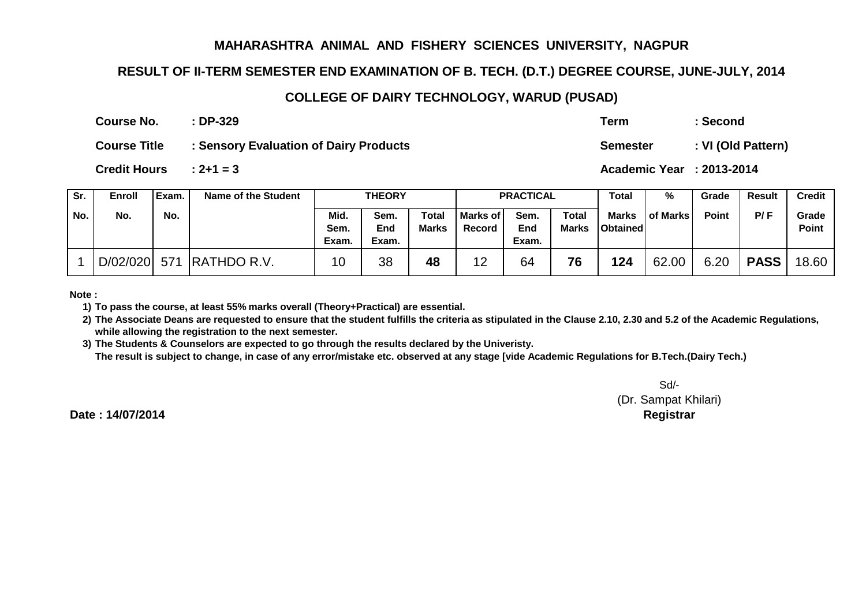## **RESULT OF II-TERM SEMESTER END EXAMINATION OF B. TECH. (D.T.) DEGREE COURSE, JUNE-JULY, 2014**

#### **COLLEGE OF DAIRY TECHNOLOGY, WARUD (PUSAD)**

**: DP-329Course No.**

**Term : Second**

**Semester : VI (Old Pattern)**

**Course Title: Sensory Evaluation of Dairy Products**

**: 2+1 = 3Credit Hours**

**Academic Year : 2013-2014**

| Sr. | Enroll   | Exam. | Name of the Student | <b>THEORY</b>         |                      |                |                             | <b>PRACTICAL</b>     |                       | Total                           | %        | Grade | <b>Result</b> | <b>Credit</b>         |
|-----|----------|-------|---------------------|-----------------------|----------------------|----------------|-----------------------------|----------------------|-----------------------|---------------------------------|----------|-------|---------------|-----------------------|
| No. | No.      | No.   |                     | Mid.<br>Sem.<br>Exam. | Sem.<br>End<br>Exam. | Total<br>Marks | <b>Marks of I</b><br>Record | Sem.<br>End<br>Exam. | <b>Total</b><br>Marks | <b>Marks</b><br><b>Obtained</b> | of Marks | Point | P/F           | Grade<br><b>Point</b> |
|     | D/02/020 | 571   | <b>RATHDO R.V.</b>  | 10                    | 38                   | 48             | 12                          | 64                   | 76                    | 124                             | 62.00    | 6.20  | <b>PASS</b>   | 18.60                 |

**Note :**

**1) To pass the course, at least 55% marks overall (Theory+Practical) are essential.**

**2) The Associate Deans are requested to ensure that the student fulfills the criteria as stipulated in the Clause 2.10, 2.30 and 5.2 of the Academic Regulations, while allowing the registration to the next semester.**

**3) The Students & Counselors are expected to go through the results declared by the Univeristy. The result is subject to change, in case of any error/mistake etc. observed at any stage [vide Academic Regulations for B.Tech.(Dairy Tech.)**

> Sd/- (Dr. Sampat Khilari)**Controller of Examinations Registrar**

**Date : 14/07/2014**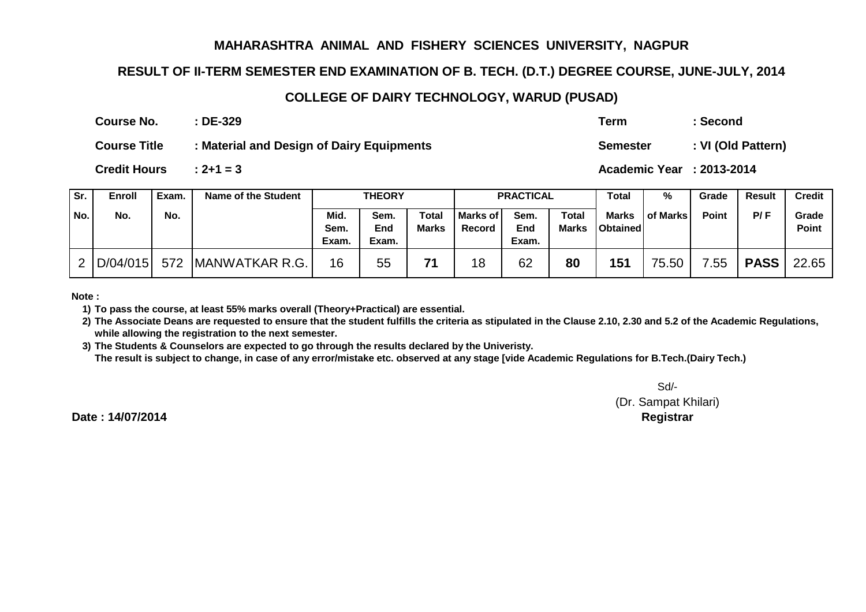## **RESULT OF II-TERM SEMESTER END EXAMINATION OF B. TECH. (D.T.) DEGREE COURSE, JUNE-JULY, 2014**

#### **COLLEGE OF DAIRY TECHNOLOGY, WARUD (PUSAD)**

| : DE-329                                  | Term            | :Second           |
|-------------------------------------------|-----------------|-------------------|
| : Material and Design of Dairy Equipments | <b>Semester</b> | : VI (Old Pattern |

**: 2+1 = 3Credit Hours**

**Course No.**

**Course Title**

**: DE-329**

**Academic Year : 2013-2014**

| Sr.   | Enroll   | Exam. | Name of the Student    | <b>THEORY</b>         |                      |                              |                      | <b>PRACTICAL</b>     |                              | <b>Total</b>                    | %               | Grade        | <b>Result</b> | <b>Credit</b>         |
|-------|----------|-------|------------------------|-----------------------|----------------------|------------------------------|----------------------|----------------------|------------------------------|---------------------------------|-----------------|--------------|---------------|-----------------------|
| ' No. | No.      | No.   |                        | Mid.<br>Sem.<br>Exam. | Sem.<br>End<br>Exam. | <b>Total</b><br><b>Marks</b> | l Marks of<br>Record | Sem.<br>End<br>Exam. | <b>Total</b><br><b>Marks</b> | <b>Marks</b><br><b>Obtained</b> | <b>of Marks</b> | <b>Point</b> | P/F           | Grade<br><b>Point</b> |
| ົາ    | D/04/015 | 572   | <b>IMANWATKAR R.G.</b> | 16                    | 55                   | 71                           | 18                   | 62                   | 80                           | 151                             | 75.50           | 7.55         | <b>PASS</b>   | 22.65                 |

**Note :**

**1) To pass the course, at least 55% marks overall (Theory+Practical) are essential.**

**2) The Associate Deans are requested to ensure that the student fulfills the criteria as stipulated in the Clause 2.10, 2.30 and 5.2 of the Academic Regulations, while allowing the registration to the next semester.**

 **3) The Students & Counselors are expected to go through the results declared by the Univeristy. The result is subject to change, in case of any error/mistake etc. observed at any stage [vide Academic Regulations for B.Tech.(Dairy Tech.)**

> Sd/-(Dr. Sampat Khilari)

**Date : 14/07/2014**

**Controller of Examinations Registrar**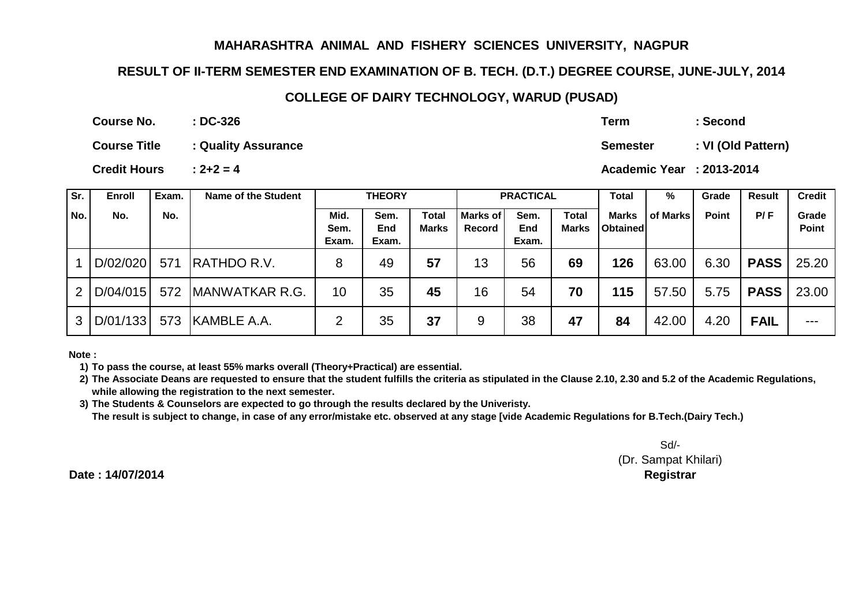## **RESULT OF II-TERM SEMESTER END EXAMINATION OF B. TECH. (D.T.) DEGREE COURSE, JUNE-JULY, 2014**

#### **COLLEGE OF DAIRY TECHNOLOGY, WARUD (PUSAD)**

**: DC-326Course No.**

**Course Title : Quality Assurance**

**: 2+2 = 4Credit Hours**

**Sr. Enroll Exam. Name of the Student Total % Grade Result Credit No. No. No. Mid. Sem. Exam.Sem. End Exam.Total MarksMarks of RecordSem. End Exam.Total MarksMarks Obtained of Marks Point P/ F Grade Point**1 | D/02/020 | 571 | RATHDO R.V. | 8 | 49 **<sup>57</sup>** <sup>13</sup> <sup>56</sup> **<sup>69</sup> <sup>126</sup>** 63.00 6.30 **PASSPASS** 25.20 2 D/04/015 572 MANWATKAR R.G. 1 10 35 **<sup>45</sup>** <sup>16</sup> <sup>54</sup> **<sup>70</sup> <sup>115</sup>** 57.50 5.75 **PASSPASS** 23.00 3 D/01/133 573 KAMBLE A.A. 2 35 **<sup>37</sup>** <sup>9</sup> <sup>38</sup> **<sup>47</sup> <sup>84</sup>** 42.00 4.20 **FAIL** --- **PRACTICALTHEORY**

**Note :**

**1) To pass the course, at least 55% marks overall (Theory+Practical) are essential.**

- **2) The Associate Deans are requested to ensure that the student fulfills the criteria as stipulated in the Clause 2.10, 2.30 and 5.2 of the Academic Regulations, while allowing the registration to the next semester.**
- **3) The Students & Counselors are expected to go through the results declared by the Univeristy. The result is subject to change, in case of any error/mistake etc. observed at any stage [vide Academic Regulations for B.Tech.(Dairy Tech.)**

Sd/-

 (Dr. Sampat Khilari)**Controller of Examinations Registrar**

**Date : 14/07/2014**

**Term : Second**

**Semester : VI (Old Pattern)**

**Academic Year : 2013-2014**